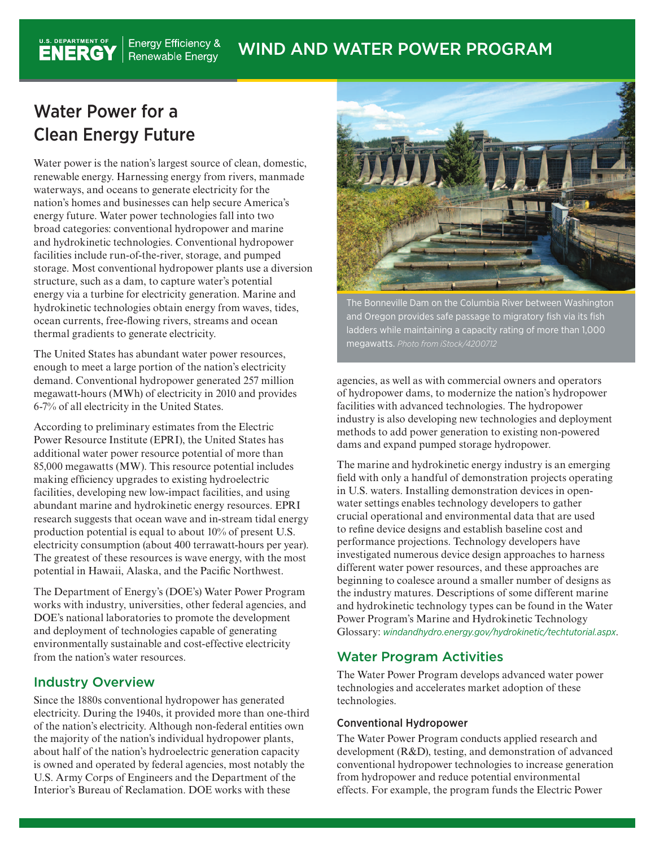# Water Power for a Clean Energy Future

U.S. DEPARTMENT OF

Water power is the nation's largest source of clean, domestic, renewable energy. Harnessing energy from rivers, manmade waterways, and oceans to generate electricity for the nation's homes and businesses can help secure America's energy future. Water power technologies fall into two broad categories: conventional hydropower and marine and hydrokinetic technologies. Conventional hydropower facilities include run-of-the-river, storage, and pumped storage. Most conventional hydropower plants use a diversion structure, such as a dam, to capture water's potential energy via a turbine for electricity generation. Marine and hydrokinetic technologies obtain energy from waves, tides, ocean currents, free-flowing rivers, streams and ocean thermal gradients to generate electricity.

The United States has abundant water power resources, enough to meet a large portion of the nation's electricity demand. Conventional hydropower generated 257 million megawatt-hours (MWh) of electricity in 2010 and provides 6-7% of all electricity in the United States.

According to preliminary estimates from the Electric Power Resource Institute (EPRI), the United States has additional water power resource potential of more than 85,000 megawatts (MW). This resource potential includes making efficiency upgrades to existing hydroelectric facilities, developing new low-impact facilities, and using abundant marine and hydrokinetic energy resources. EPRI research suggests that ocean wave and in-stream tidal energy production potential is equal to about 10% of present U.S. electricity consumption (about 400 terrawatt-hours per year). The greatest of these resources is wave energy, with the most potential in Hawaii, Alaska, and the Pacific Northwest.

The Department of Energy's (DOE's) Water Power Program works with industry, universities, other federal agencies, and DOE's national laboratories to promote the development and deployment of technologies capable of generating environmentally sustainable and cost-effective electricity from the nation's water resources.

## Industry Overview

Since the 1880s conventional hydropower has generated electricity. During the 1940s, it provided more than one-third of the nation's electricity. Although non-federal entities own the majority of the nation's individual hydropower plants, about half of the nation's hydroelectric generation capacity is owned and operated by federal agencies, most notably the U.S. Army Corps of Engineers and the Department of the Interior's Bureau of Reclamation. DOE works with these



The Bonneville Dam on the Columbia River between Washington and Oregon provides safe passage to migratory fish via its fish ladders while maintaining a capacity rating of more than 1,000 megawatts. *Photo from iStock/4200712*

agencies, as well as with commercial owners and operators of hydropower dams, to modernize the nation's hydropower facilities with advanced technologies. The hydropower industry is also developing new technologies and deployment methods to add power generation to existing non-powered dams and expand pumped storage hydropower.

The marine and hydrokinetic energy industry is an emerging field with only a handful of demonstration projects operating in U.S. waters. Installing demonstration devices in openwater settings enables technology developers to gather crucial operational and environmental data that are used to refine device designs and establish baseline cost and performance projections. Technology developers have investigated numerous device design approaches to harness different water power resources, and these approaches are beginning to coalesce around a smaller number of designs as the industry matures. Descriptions of some different marine and hydrokinetic technology types can be found in the Water Power Program's Marine and Hydrokinetic Technology Glossary: *<windandhydro.energy.gov/hydrokinetic/techtutorial.aspx>*.

## Water Program Activities

The Water Power Program develops advanced water power technologies and accelerates market adoption of these technologies.

### Conventional Hydropower

The Water Power Program conducts applied research and development (R&D), testing, and demonstration of advanced conventional hydropower technologies to increase generation from hydropower and reduce potential environmental effects. For example, the program funds the Electric Power